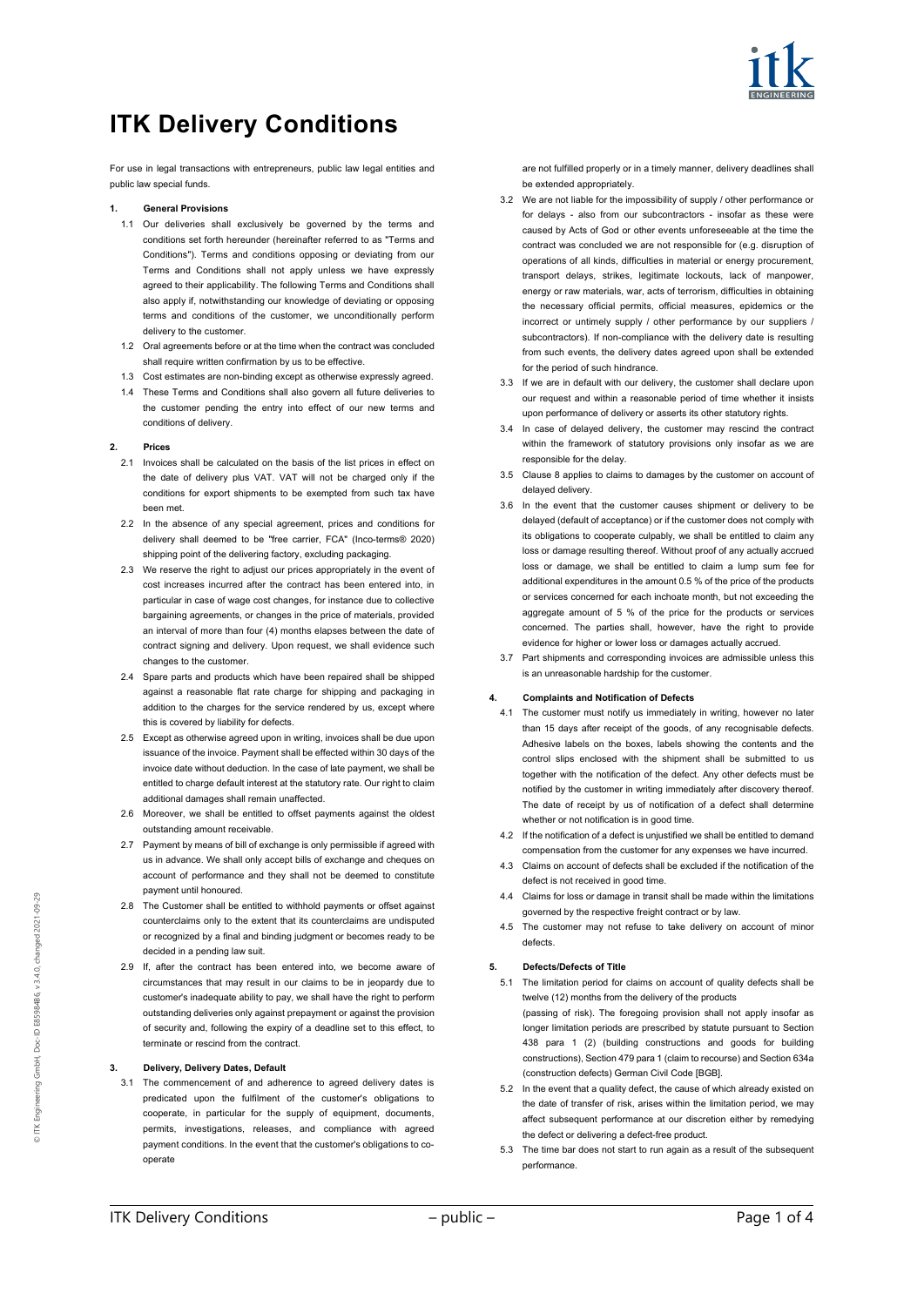

# **ITK Delivery Conditions**

For use in legal transactions with entrepreneurs, public law legal entities and public law special funds.

# **1. General Provisions**

- 1.1 Our deliveries shall exclusively be governed by the terms and conditions set forth hereunder (hereinafter referred to as "Terms and Conditions"). Terms and conditions opposing or deviating from our Terms and Conditions shall not apply unless we have expressly agreed to their applicability. The following Terms and Conditions shall also apply if, notwithstanding our knowledge of deviating or opposing terms and conditions of the customer, we unconditionally perform delivery to the customer.
- 1.2 Oral agreements before or at the time when the contract was concluded shall require written confirmation by us to be effective.
- 1.3 Cost estimates are non-binding except as otherwise expressly agreed.
- These Terms and Conditions shall also govern all future deliveries to the customer pending the entry into effect of our new terms and conditions of delivery.

#### **2. Prices**

- 2.1 Invoices shall be calculated on the basis of the list prices in effect on the date of delivery plus VAT. VAT will not be charged only if the conditions for export shipments to be exempted from such tax have been met.
- 2.2 In the absence of any special agreement, prices and conditions for delivery shall deemed to be "free carrier, FCA" (Inco-terms® 2020) shipping point of the delivering factory, excluding packaging.
- 2.3 We reserve the right to adjust our prices appropriately in the event of cost increases incurred after the contract has been entered into, in particular in case of wage cost changes, for instance due to collective bargaining agreements, or changes in the price of materials, provided an interval of more than four (4) months elapses between the date of contract signing and delivery. Upon request, we shall evidence such changes to the customer.
- 2.4 Spare parts and products which have been repaired shall be shipped against a reasonable flat rate charge for shipping and packaging in addition to the charges for the service rendered by us, except where this is covered by liability for defects.
- 2.5 Except as otherwise agreed upon in writing, invoices shall be due upon issuance of the invoice. Payment shall be effected within 30 days of the invoice date without deduction. In the case of late payment, we shall be entitled to charge default interest at the statutory rate. Our right to claim additional damages shall remain unaffected.
- 2.6 Moreover, we shall be entitled to offset payments against the oldest outstanding amount receivable.
- 2.7 Payment by means of bill of exchange is only permissible if agreed with us in advance. We shall only accept bills of exchange and cheques on account of performance and they shall not be deemed to constitute payment until honoured.
- 2.8 The Customer shall be entitled to withhold payments or offset against counterclaims only to the extent that its counterclaims are undisputed or recognized by a final and binding judgment or becomes ready to be decided in a pending law suit.
- 2.9 If, after the contract has been entered into, we become aware of circumstances that may result in our claims to be in jeopardy due to customer's inadequate ability to pay, we shall have the right to perform outstanding deliveries only against prepayment or against the provision of security and, following the expiry of a deadline set to this effect, to terminate or rescind from the contract.

#### **3. Delivery, Delivery Dates, Default**

3.1 The commencement of and adherence to agreed delivery dates is predicated upon the fulfilment of the customer's obligations to cooperate, in particular for the supply of equipment, documents, permits, investigations, releases, and compliance with agreed payment conditions. In the event that the customer's obligations to cooperate

are not fulfilled properly or in a timely manner, delivery deadlines shall be extended appropriately.

- 3.2 We are not liable for the impossibility of supply / other performance or for delays - also from our subcontractors - insofar as these were caused by Acts of God or other events unforeseeable at the time the contract was concluded we are not responsible for (e.g. disruption of operations of all kinds, difficulties in material or energy procurement, transport delays, strikes, legitimate lockouts, lack of manpower energy or raw materials, war, acts of terrorism, difficulties in obtaining the necessary official permits, official measures, epidemics or the incorrect or untimely supply / other performance by our suppliers / subcontractors). If non-compliance with the delivery date is resulting from such events, the delivery dates agreed upon shall be extended for the period of such hindrance.
- 3.3 If we are in default with our delivery, the customer shall declare upon our request and within a reasonable period of time whether it insists upon performance of delivery or asserts its other statutory rights.
- 3.4 In case of delayed delivery, the customer may rescind the contract within the framework of statutory provisions only insofar as we are responsible for the delay.
- 3.5 Clause 8 applies to claims to damages by the customer on account of delayed delivery.
- 3.6 In the event that the customer causes shipment or delivery to be delayed (default of acceptance) or if the customer does not comply with its obligations to cooperate culpably, we shall be entitled to claim any loss or damage resulting thereof. Without proof of any actually accrued loss or damage, we shall be entitled to claim a lump sum fee for additional expenditures in the amount 0.5 % of the price of the products or services concerned for each inchoate month, but not exceeding the aggregate amount of 5 % of the price for the products or services concerned. The parties shall, however, have the right to provide evidence for higher or lower loss or damages actually accrued.
- 3.7 Part shipments and corresponding invoices are admissible unless this is an unreasonable hardship for the customer.

# **4. Complaints and Notification of Defects**

- 4.1 The customer must notify us immediately in writing, however no later than 15 days after receipt of the goods, of any recognisable defects. Adhesive labels on the boxes, labels showing the contents and the control slips enclosed with the shipment shall be submitted to us together with the notification of the defect. Any other defects must be notified by the customer in writing immediately after discovery thereof. The date of receipt by us of notification of a defect shall determine whether or not notification is in good time.
- 4.2 If the notification of a defect is unjustified we shall be entitled to demand compensation from the customer for any expenses we have incurred.
- 4.3 Claims on account of defects shall be excluded if the notification of the defect is not received in good time.
- 4.4 Claims for loss or damage in transit shall be made within the limitations governed by the respective freight contract or by law.
- 4.5 The customer may not refuse to take delivery on account of minor defects.

# **5. Defects/Defects of Title**

- 5.1 The limitation period for claims on account of quality defects shall be twelve (12) months from the delivery of the products (passing of risk). The foregoing provision shall not apply insofar as longer limitation periods are prescribed by statute pursuant to Section 438 para 1 (2) (building constructions and goods for building constructions), Section 479 para 1 (claim to recourse) and Section 634a (construction defects) German Civil Code [BGB].
- 5.2 In the event that a quality defect, the cause of which already existed on the date of transfer of risk, arises within the limitation period, we may affect subsequent performance at our discretion either by remedying the defect or delivering a defect-free product.
- 5.3 The time bar does not start to run again as a result of the subsequent performance.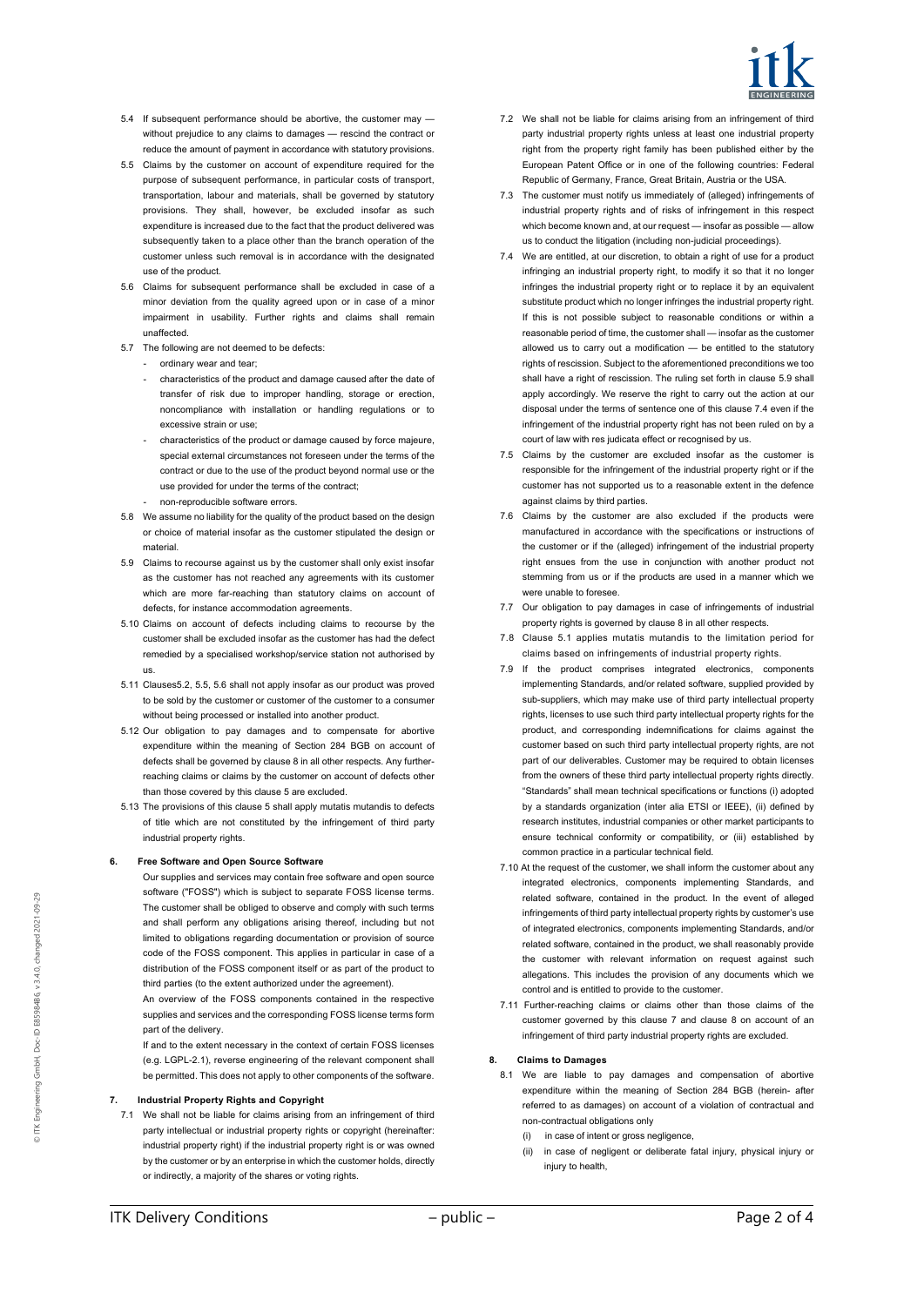

- 5.4 If subsequent performance should be abortive, the customer may without prejudice to any claims to damages — rescind the contract or reduce the amount of payment in accordance with statutory provisions.
- 5.5 Claims by the customer on account of expenditure required for the purpose of subsequent performance, in particular costs of transport, transportation, labour and materials, shall be governed by statutory provisions. They shall, however, be excluded insofar as such expenditure is increased due to the fact that the product delivered was subsequently taken to a place other than the branch operation of the customer unless such removal is in accordance with the designated use of the product.
- 5.6 Claims for subsequent performance shall be excluded in case of a minor deviation from the quality agreed upon or in case of a minor impairment in usability. Further rights and claims shall remain unaffected.
- 5.7 The following are not deemed to be defects:
	- ordinary wear and tear:
	- characteristics of the product and damage caused after the date of transfer of risk due to improper handling, storage or erection, noncompliance with installation or handling regulations or to excessive strain or use;
	- characteristics of the product or damage caused by force majeure, special external circumstances not foreseen under the terms of the contract or due to the use of the product beyond normal use or the use provided for under the terms of the contract;
	- non-reproducible software errors.
- 5.8 We assume no liability for the quality of the product based on the design or choice of material insofar as the customer stipulated the design or material.
- 5.9 Claims to recourse against us by the customer shall only exist insofar as the customer has not reached any agreements with its customer which are more far-reaching than statutory claims on account of defects, for instance accommodation agreements.
- 5.10 Claims on account of defects including claims to recourse by the customer shall be excluded insofar as the customer has had the defect remedied by a specialised workshop/service station not authorised by us.
- 5.11 Clauses5.2, 5.5, 5.6 shall not apply insofar as our product was proved to be sold by the customer or customer of the customer to a consumer without being processed or installed into another product.
- 5.12 Our obligation to pay damages and to compensate for abortive expenditure within the meaning of Section 284 BGB on account of defects shall be governed by clause 8 in all other respects. Any furtherreaching claims or claims by the customer on account of defects other than those covered by this clause 5 are excluded.
- 5.13 The provisions of this clause 5 shall apply mutatis mutandis to defects of title which are not constituted by the infringement of third party industrial property rights.

# **6. Free Software and Open Source Software**

- Our supplies and services may contain free software and open source software ("FOSS") which is subject to separate FOSS license terms. The customer shall be obliged to observe and comply with such terms and shall perform any obligations arising thereof, including but not limited to obligations regarding documentation or provision of source code of the FOSS component. This applies in particular in case of a distribution of the FOSS component itself or as part of the product to third parties (to the extent authorized under the agreement).
- An overview of the FOSS components contained in the respective supplies and services and the corresponding FOSS license terms form part of the delivery.
- If and to the extent necessary in the context of certain FOSS licenses (e.g. LGPL-2.1), reverse engineering of the relevant component shall be permitted. This does not apply to other components of the software.

#### **7. Industrial Property Rights and Copyright**

7.1 We shall not be liable for claims arising from an infringement of third party intellectual or industrial property rights or copyright (hereinafter: industrial property right) if the industrial property right is or was owned by the customer or by an enterprise in which the customer holds, directly or indirectly, a majority of the shares or voting rights.

- 7.2 We shall not be liable for claims arising from an infringement of third party industrial property rights unless at least one industrial property right from the property right family has been published either by the European Patent Office or in one of the following countries: Federal Republic of Germany, France, Great Britain, Austria or the USA.
- 7.3 The customer must notify us immediately of (alleged) infringements of industrial property rights and of risks of infringement in this respect which become known and, at our request — insofar as possible — allow us to conduct the litigation (including non-judicial proceedings).
- 7.4 We are entitled, at our discretion, to obtain a right of use for a product infringing an industrial property right, to modify it so that it no longer infringes the industrial property right or to replace it by an equivalent substitute product which no longer infringes the industrial property right. If this is not possible subject to reasonable conditions or within a reasonable period of time, the customer shall — insofar as the customer allowed us to carry out a modification — be entitled to the statutory rights of rescission. Subject to the aforementioned preconditions we too shall have a right of rescission. The ruling set forth in clause 5.9 shall apply accordingly. We reserve the right to carry out the action at our disposal under the terms of sentence one of this clause 7.4 even if the infringement of the industrial property right has not been ruled on by a court of law with res judicata effect or recognised by us.
- 7.5 Claims by the customer are excluded insofar as the customer is responsible for the infringement of the industrial property right or if the customer has not supported us to a reasonable extent in the defence against claims by third parties.
- 7.6 Claims by the customer are also excluded if the products were manufactured in accordance with the specifications or instructions of the customer or if the (alleged) infringement of the industrial property right ensues from the use in conjunction with another product not stemming from us or if the products are used in a manner which we were unable to foresee.
- 7.7 Our obligation to pay damages in case of infringements of industrial property rights is governed by clause 8 in all other respects.
- 7.8 Clause 5.1 applies mutatis mutandis to the limitation period for claims based on infringements of industrial property rights.
- 7.9 If the product comprises integrated electronics, components implementing Standards, and/or related software, supplied provided by sub-suppliers, which may make use of third party intellectual property rights, licenses to use such third party intellectual property rights for the product, and corresponding indemnifications for claims against the customer based on such third party intellectual property rights, are not part of our deliverables. Customer may be required to obtain licenses from the owners of these third party intellectual property rights directly. "Standards" shall mean technical specifications or functions (i) adopted by a standards organization (inter alia ETSI or IEEE), (ii) defined by research institutes, industrial companies or other market participants to ensure technical conformity or compatibility, or (iii) established by common practice in a particular technical field.
- 7.10 At the request of the customer, we shall inform the customer about any integrated electronics, components implementing Standards, and related software, contained in the product. In the event of alleged infringements of third party intellectual property rights by customer's use of integrated electronics, components implementing Standards, and/or related software, contained in the product, we shall reasonably provide the customer with relevant information on request against such allegations. This includes the provision of any documents which we control and is entitled to provide to the customer.
- 7.11 Further-reaching claims or claims other than those claims of the customer governed by this clause 7 and clause 8 on account of an infringement of third party industrial property rights are excluded.

# **8. Claims to Damages**

- 8.1 We are liable to pay damages and compensation of abortive expenditure within the meaning of Section 284 BGB (herein- after referred to as damages) on account of a violation of contractual and non-contractual obligations only
	- (i) in case of intent or gross negligence,
	- (ii) in case of negligent or deliberate fatal injury, physical injury or injury to health.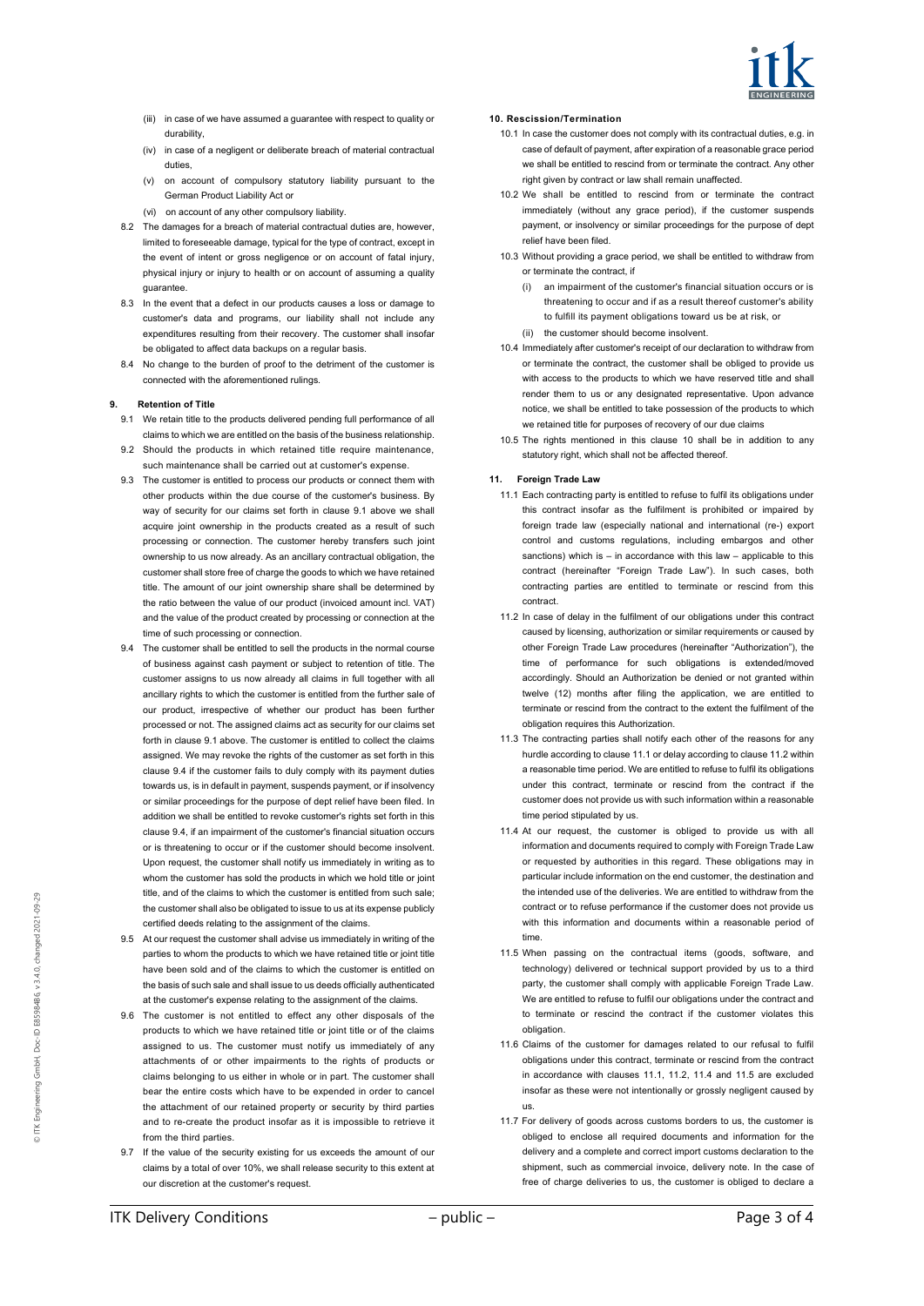

- (iii) in case of we have assumed a guarantee with respect to quality or durability,
- (iv) in case of a negligent or deliberate breach of material contractual duties
- (v) on account of compulsory statutory liability pursuant to the German Product Liability Act or
- (vi) on account of any other compulsory liability.
- 8.2 The damages for a breach of material contractual duties are, however, limited to foreseeable damage, typical for the type of contract, except in the event of intent or gross negligence or on account of fatal injury, physical injury or injury to health or on account of assuming a quality guarantee.
- 8.3 In the event that a defect in our products causes a loss or damage to customer's data and programs, our liability shall not include any expenditures resulting from their recovery. The customer shall insofar be obligated to affect data backups on a regular basis.
- 8.4 No change to the burden of proof to the detriment of the customer is connected with the aforementioned rulings.

# **9. Retention of Title**

- 9.1 We retain title to the products delivered pending full performance of all claims to which we are entitled on the basis of the business relationship. 9.2 Should the products in which retained title require maintenance,
- such maintenance shall be carried out at customer's expense.
- 9.3 The customer is entitled to process our products or connect them with other products within the due course of the customer's business. By way of security for our claims set forth in clause 9.1 above we shall acquire joint ownership in the products created as a result of such processing or connection. The customer hereby transfers such joint ownership to us now already. As an ancillary contractual obligation, the customer shall store free of charge the goods to which we have retained title. The amount of our joint ownership share shall be determined by the ratio between the value of our product (invoiced amount incl. VAT) and the value of the product created by processing or connection at the time of such processing or connection.
- 9.4 The customer shall be entitled to sell the products in the normal course of business against cash payment or subject to retention of title. The customer assigns to us now already all claims in full together with all ancillary rights to which the customer is entitled from the further sale of our product, irrespective of whether our product has been further processed or not. The assigned claims act as security for our claims set forth in clause 9.1 above. The customer is entitled to collect the claims assigned. We may revoke the rights of the customer as set forth in this clause 9.4 if the customer fails to duly comply with its payment duties towards us, is in default in payment, suspends payment, or if insolvency or similar proceedings for the purpose of dept relief have been filed. In addition we shall be entitled to revoke customer's rights set forth in this clause 9.4, if an impairment of the customer's financial situation occurs or is threatening to occur or if the customer should become insolvent. Upon request, the customer shall notify us immediately in writing as to whom the customer has sold the products in which we hold title or joint title, and of the claims to which the customer is entitled from such sale; the customer shall also be obligated to issue to us at its expense publicly certified deeds relating to the assignment of the claims.
- 9.5 At our request the customer shall advise us immediately in writing of the parties to whom the products to which we have retained title or joint title have been sold and of the claims to which the customer is entitled on the basis of such sale and shall issue to us deeds officially authenticated at the customer's expense relating to the assignment of the claims.
- 9.6 The customer is not entitled to effect any other disposals of the products to which we have retained title or joint title or of the claims assigned to us. The customer must notify us immediately of any attachments of or other impairments to the rights of products or claims belonging to us either in whole or in part. The customer shall bear the entire costs which have to be expended in order to cancel the attachment of our retained property or security by third parties and to re-create the product insofar as it is impossible to retrieve it from the third parties.
- 9.7 If the value of the security existing for us exceeds the amount of our claims by a total of over 10%, we shall release security to this extent at our discretion at the customer's request.

### **10. Rescission/Termination**

- 10.1 In case the customer does not comply with its contractual duties, e.g. in case of default of payment, after expiration of a reasonable grace period we shall be entitled to rescind from or terminate the contract. Any other right given by contract or law shall remain unaffected.
- 10.2 We shall be entitled to rescind from or terminate the contract immediately (without any grace period), if the customer suspends payment, or insolvency or similar proceedings for the purpose of dept relief have been filed.
- 10.3 Without providing a grace period, we shall be entitled to withdraw from or terminate the contract, if
	- (i) an impairment of the customer's financial situation occurs or is threatening to occur and if as a result thereof customer's ability to fulfill its payment obligations toward us be at risk, or
	- (ii) the customer should become insolvent.
- 10.4 Immediately after customer's receipt of our declaration to withdraw from or terminate the contract, the customer shall be obliged to provide us with access to the products to which we have reserved title and shall render them to us or any designated representative. Upon advance notice, we shall be entitled to take possession of the products to which we retained title for purposes of recovery of our due claims
- 10.5 The rights mentioned in this clause 10 shall be in addition to any statutory right, which shall not be affected thereof.

# **11. Foreign Trade Law**

- 11.1 Each contracting party is entitled to refuse to fulfil its obligations under this contract insofar as the fulfilment is prohibited or impaired by foreign trade law (especially national and international (re-) export control and customs regulations, including embargos and other sanctions) which is – in accordance with this law – applicable to this contract (hereinafter "Foreign Trade Law"). In such cases, both contracting parties are entitled to terminate or rescind from this contract.
- 11.2 In case of delay in the fulfilment of our obligations under this contract caused by licensing, authorization or similar requirements or caused by other Foreign Trade Law procedures (hereinafter "Authorization"), the time of performance for such obligations is extended/moved accordingly. Should an Authorization be denied or not granted within twelve (12) months after filing the application, we are entitled to terminate or rescind from the contract to the extent the fulfilment of the obligation requires this Authorization.
- 11.3 The contracting parties shall notify each other of the reasons for any hurdle according to clause 11.1 or delay according to clause 11.2 within a reasonable time period. We are entitled to refuse to fulfil its obligations under this contract, terminate or rescind from the contract if the customer does not provide us with such information within a reasonable time period stipulated by us.
- 11.4 At our request, the customer is obliged to provide us with all information and documents required to comply with Foreign Trade Law or requested by authorities in this regard. These obligations may in particular include information on the end customer, the destination and the intended use of the deliveries. We are entitled to withdraw from the contract or to refuse performance if the customer does not provide us with this information and documents within a reasonable period of time.
- 11.5 When passing on the contractual items (goods, software, and technology) delivered or technical support provided by us to a third party, the customer shall comply with applicable Foreign Trade Law. We are entitled to refuse to fulfil our obligations under the contract and to terminate or rescind the contract if the customer violates this obligation.
- 11.6 Claims of the customer for damages related to our refusal to fulfil obligations under this contract, terminate or rescind from the contract in accordance with clauses 11.1, 11.2, 11.4 and 11.5 are excluded insofar as these were not intentionally or grossly negligent caused by us.
- 11.7 For delivery of goods across customs borders to us, the customer is obliged to enclose all required documents and information for the delivery and a complete and correct import customs declaration to the shipment, such as commercial invoice, delivery note. In the case of free of charge deliveries to us, the customer is obliged to declare a